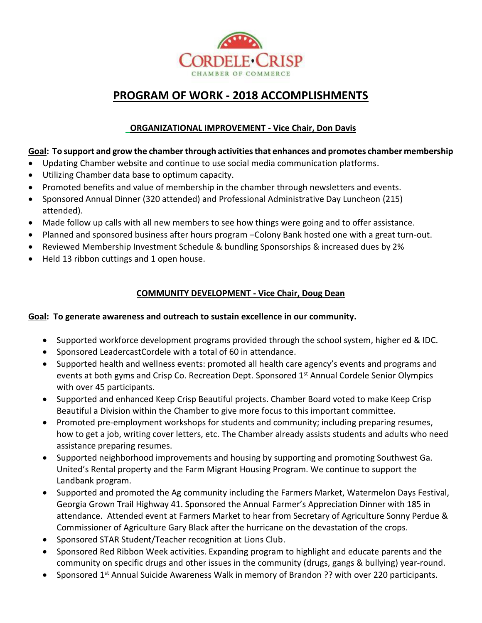

# **PROGRAM OF WORK - 2018 ACCOMPLISHMENTS**

# **ORGANIZATIONAL IMPROVEMENT - Vice Chair, Don Davis**

#### **Goal: To support and grow the chamber through activities that enhances and promotes chamber membership**

- Updating Chamber website and continue to use social media communication platforms.
- Utilizing Chamber data base to optimum capacity.
- Promoted benefits and value of membership in the chamber through newsletters and events.
- Sponsored Annual Dinner (320 attended) and Professional Administrative Day Luncheon (215) attended).
- Made follow up calls with all new members to see how things were going and to offer assistance.
- Planned and sponsored business after hours program –Colony Bank hosted one with a great turn-out.
- Reviewed Membership Investment Schedule & bundling Sponsorships & increased dues by 2%
- Held 13 ribbon cuttings and 1 open house.

# **COMMUNITY DEVELOPMENT - Vice Chair, Doug Dean**

#### **Goal: To generate awareness and outreach to sustain excellence in our community.**

- Supported workforce development programs provided through the school system, higher ed & IDC.
- Sponsored LeadercastCordele with a total of 60 in attendance.
- Supported health and wellness events: promoted all health care agency's events and programs and events at both gyms and Crisp Co. Recreation Dept. Sponsored 1<sup>st</sup> Annual Cordele Senior Olympics with over 45 participants.
- Supported and enhanced Keep Crisp Beautiful projects. Chamber Board voted to make Keep Crisp Beautiful a Division within the Chamber to give more focus to this important committee.
- Promoted pre-employment workshops for students and community; including preparing resumes, how to get a job, writing cover letters, etc. The Chamber already assists students and adults who need assistance preparing resumes.
- Supported neighborhood improvements and housing by supporting and promoting Southwest Ga. United's Rental property and the Farm Migrant Housing Program. We continue to support the Landbank program.
- Supported and promoted the Ag community including the Farmers Market, Watermelon Days Festival, Georgia Grown Trail Highway 41. Sponsored the Annual Farmer's Appreciation Dinner with 185 in attendance. Attended event at Farmers Market to hear from Secretary of Agriculture Sonny Perdue & Commissioner of Agriculture Gary Black after the hurricane on the devastation of the crops.
- Sponsored STAR Student/Teacher recognition at Lions Club.
- Sponsored Red Ribbon Week activities. Expanding program to highlight and educate parents and the community on specific drugs and other issues in the community (drugs, gangs & bullying) year-round.
- Sponsored 1<sup>st</sup> Annual Suicide Awareness Walk in memory of Brandon ?? with over 220 participants.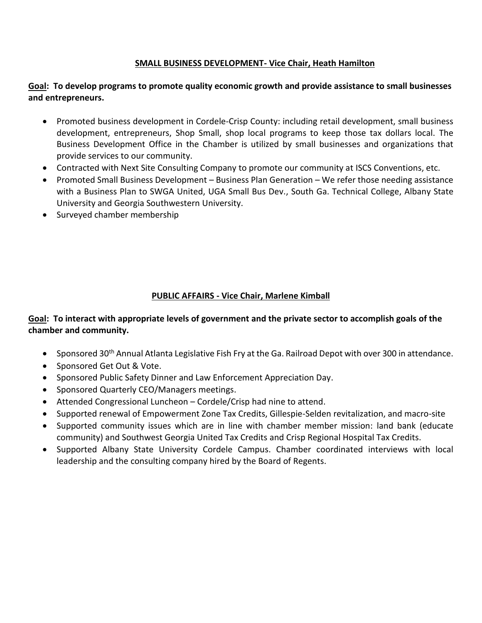#### **SMALL BUSINESS DEVELOPMENT- Vice Chair, Heath Hamilton**

#### **Goal: To develop programs to promote quality economic growth and provide assistance to small businesses and entrepreneurs.**

- Promoted business development in Cordele-Crisp County: including retail development, small business development, entrepreneurs, Shop Small, shop local programs to keep those tax dollars local. The Business Development Office in the Chamber is utilized by small businesses and organizations that provide services to our community.
- Contracted with Next Site Consulting Company to promote our community at ISCS Conventions, etc.
- Promoted Small Business Development Business Plan Generation We refer those needing assistance with a Business Plan to SWGA United, UGA Small Bus Dev., South Ga. Technical College, Albany State University and Georgia Southwestern University.
- Surveyed chamber membership

# **PUBLIC AFFAIRS - Vice Chair, Marlene Kimball**

# **Goal: To interact with appropriate levels of government and the private sector to accomplish goals of the chamber and community.**

- Sponsored 30th Annual Atlanta Legislative Fish Fry at the Ga. Railroad Depot with over 300 in attendance.
- Sponsored Get Out & Vote.
- Sponsored Public Safety Dinner and Law Enforcement Appreciation Day.
- Sponsored Quarterly CEO/Managers meetings.
- Attended Congressional Luncheon Cordele/Crisp had nine to attend.
- Supported renewal of Empowerment Zone Tax Credits, Gillespie-Selden revitalization, and macro-site
- Supported community issues which are in line with chamber member mission: land bank (educate community) and Southwest Georgia United Tax Credits and Crisp Regional Hospital Tax Credits.
- Supported Albany State University Cordele Campus. Chamber coordinated interviews with local leadership and the consulting company hired by the Board of Regents.